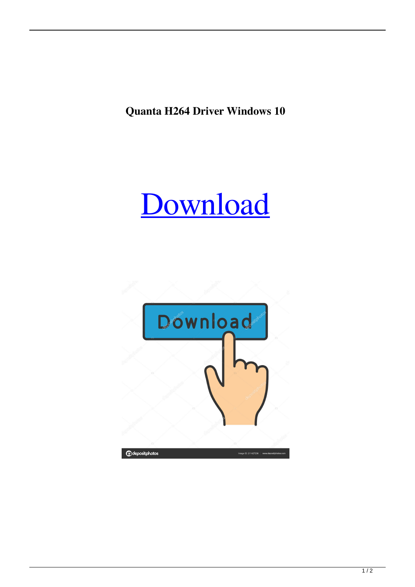**Quanta H264 Driver Windows 10**